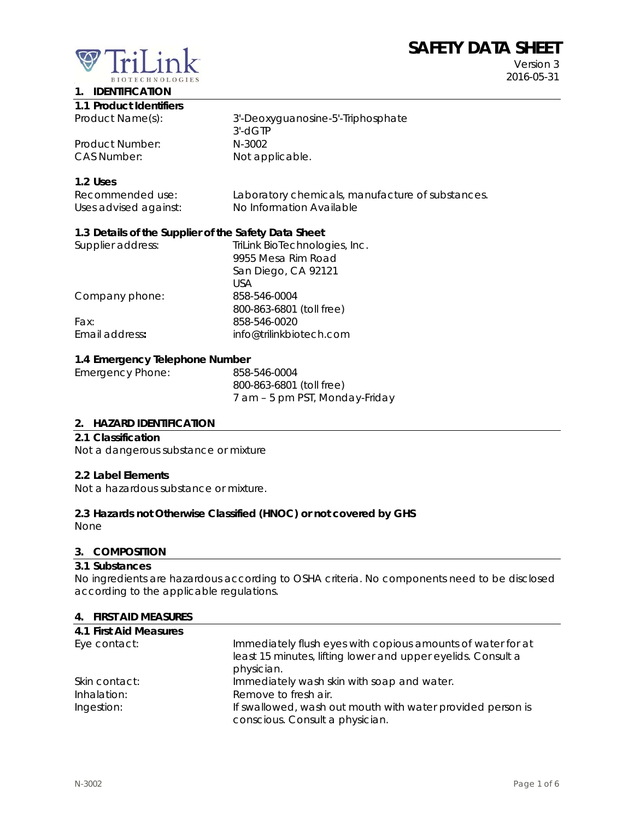# **SAFETY DATA SHEET**



Version 3 2016-05-31

# **1. IDENTIFICATION**

|  |  | 1.1 Product Identifiers |
|--|--|-------------------------|
|--|--|-------------------------|

Product Number: N-3002 CAS Number: Not applicable.

Product Name(s): 3'-Deoxyguanosine-5'-Triphosphate 3'-dGTP

# **1.2 Uses**

| Recommended use:      | Laboratory chemicals, manufacture of substances. |
|-----------------------|--------------------------------------------------|
| Uses advised against: | No Information Available                         |

## **1.3 Details of the Supplier of the Safety Data Sheet**

| TriLink BioTechnologies, Inc. |
|-------------------------------|
| 9955 Mesa Rim Road            |
| San Diego, CA 92121           |
| USA                           |
| 858-546-0004                  |
| 800-863-6801 (toll free)      |
| 858-546-0020                  |
| info@trilinkbiotech.com       |
|                               |

#### **1.4 Emergency Telephone Number**

| 858-546-0004                   |
|--------------------------------|
| 800-863-6801 (toll free)       |
| 7 am – 5 pm PST, Monday-Friday |
|                                |

#### **2. HAZARD IDENTIFICATION**

#### **2.1 Classification**

Not a dangerous substance or mixture

#### **2.2 Label Elements**

Not a hazardous substance or mixture.

#### **2.3 Hazards not Otherwise Classified (HNOC) or not covered by GHS**

None

#### **3. COMPOSITION**

#### **3.1 Substances**

No ingredients are hazardous according to OSHA criteria. No components need to be disclosed according to the applicable regulations.

#### **4. FIRST AID MEASURES**

| 4.1 First Aid Measures |                                                              |
|------------------------|--------------------------------------------------------------|
| Eye contact:           | Immediately flush eyes with copious amounts of water for at  |
|                        | least 15 minutes, lifting lower and upper eyelids. Consult a |
|                        | physician.                                                   |
| Skin contact:          | Immediately wash skin with soap and water.                   |
| Inhalation:            | Remove to fresh air.                                         |
| Ingestion:             | If swallowed, wash out mouth with water provided person is   |
|                        | conscious. Consult a physician.                              |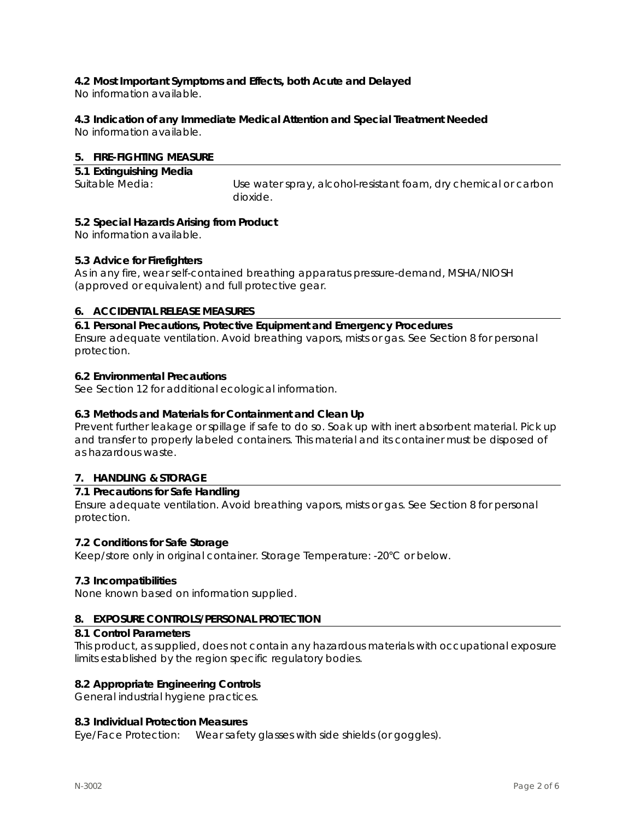# **4.2 Most Important Symptoms and Effects, both Acute and Delayed**

No information available.

# **4.3 Indication of any Immediate Medical Attention and Special Treatment Needed**

No information available.

#### **5. FIRE-FIGHTING MEASURE**

| 5.1 Extinguishing Media |                                                                 |
|-------------------------|-----------------------------------------------------------------|
| Suitable Media:         | Use water spray, alcohol-resistant foam, dry chemical or carbon |
|                         | dioxide.                                                        |

#### **5.2 Special Hazards Arising from Product**

No information available.

#### **5.3 Advice for Firefighters**

As in any fire, wear self-contained breathing apparatus pressure-demand, MSHA/NIOSH (approved or equivalent) and full protective gear.

## **6. ACCIDENTAL RELEASE MEASURES**

**6.1 Personal Precautions, Protective Equipment and Emergency Procedures**  Ensure adequate ventilation. Avoid breathing vapors, mists or gas. See Section 8 for personal protection.

#### **6.2 Environmental Precautions**

See Section 12 for additional ecological information.

#### **6.3 Methods and Materials for Containment and Clean Up**

Prevent further leakage or spillage if safe to do so. Soak up with inert absorbent material. Pick up and transfer to properly labeled containers. This material and its container must be disposed of as hazardous waste.

# **7. HANDLING & STORAGE**

#### **7.1 Precautions for Safe Handling**

Ensure adequate ventilation. Avoid breathing vapors, mists or gas. See Section 8 for personal protection.

#### **7.2 Conditions for Safe Storage**

Keep/store only in original container. Storage Temperature: -20°C or below.

#### **7.3 Incompatibilities**

None known based on information supplied.

#### **8. EXPOSURE CONTROLS/PERSONAL PROTECTION**

#### **8.1 Control Parameters**

This product, as supplied, does not contain any hazardous materials with occupational exposure limits established by the region specific regulatory bodies.

#### **8.2 Appropriate Engineering Controls**

General industrial hygiene practices.

#### **8.3 Individual Protection Measures**

Eye/Face Protection: Wear safety glasses with side shields (or goggles).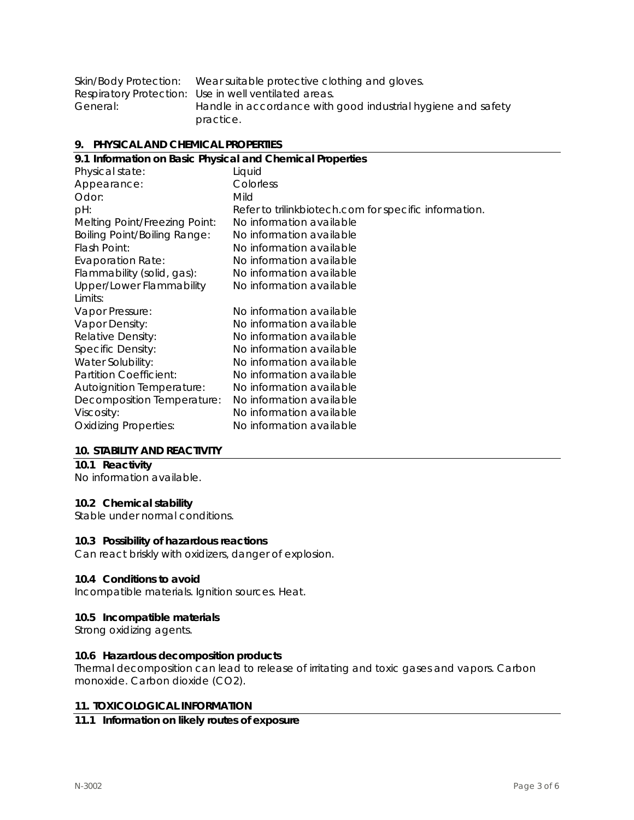|          | Skin/Body Protection: Wear suitable protective clothing and gloves. |
|----------|---------------------------------------------------------------------|
|          | Respiratory Protection: Use in well ventilated areas.               |
| General: | Handle in accordance with good industrial hygiene and safety        |
|          | practice.                                                           |

#### **9. PHYSICAL AND CHEMICAL PROPERTIES**

| 9.1 Information on Basic Physical and Chemical Properties |                                                       |  |  |
|-----------------------------------------------------------|-------------------------------------------------------|--|--|
| Physical state:                                           | Liquid                                                |  |  |
| Appearance:                                               | Colorless                                             |  |  |
| Odor:                                                     | Mild                                                  |  |  |
| pH:                                                       | Refer to trilinkbiotech.com for specific information. |  |  |
| Melting Point/Freezing Point:                             | No information available                              |  |  |
| <b>Boiling Point/Boiling Range:</b>                       | No information available                              |  |  |
| Flash Point:                                              | No information available                              |  |  |
| <b>Evaporation Rate:</b>                                  | No information available                              |  |  |
| Flammability (solid, gas):                                | No information available                              |  |  |
| Upper/Lower Flammability                                  | No information available                              |  |  |
| Limits:                                                   |                                                       |  |  |
| Vapor Pressure:                                           | No information available                              |  |  |
| Vapor Density:                                            | No information available                              |  |  |
| Relative Density:                                         | No information available                              |  |  |
| Specific Density:                                         | No information available                              |  |  |
| Water Solubility:                                         | No information available                              |  |  |
| Partition Coefficient:                                    | No information available                              |  |  |
| <b>Autoignition Temperature:</b>                          | No information available                              |  |  |
| Decomposition Temperature:                                | No information available                              |  |  |
| Viscosity:                                                | No information available                              |  |  |
| <b>Oxidizing Properties:</b>                              | No information available                              |  |  |
|                                                           |                                                       |  |  |

#### **10. STABILITY AND REACTIVITY**

# **10.1 Reactivity**

No information available.

# **10.2 Chemical stability**

Stable under normal conditions.

#### **10.3 Possibility of hazardous reactions**

Can react briskly with oxidizers, danger of explosion.

#### **10.4 Conditions to avoid**

Incompatible materials. Ignition sources. Heat.

#### **10.5 Incompatible materials**

Strong oxidizing agents.

#### **10.6 Hazardous decomposition products**

Thermal decomposition can lead to release of irritating and toxic gases and vapors. Carbon monoxide. Carbon dioxide (CO2).

#### **11. TOXICOLOGICAL INFORMATION**

#### **11.1 Information on likely routes of exposure**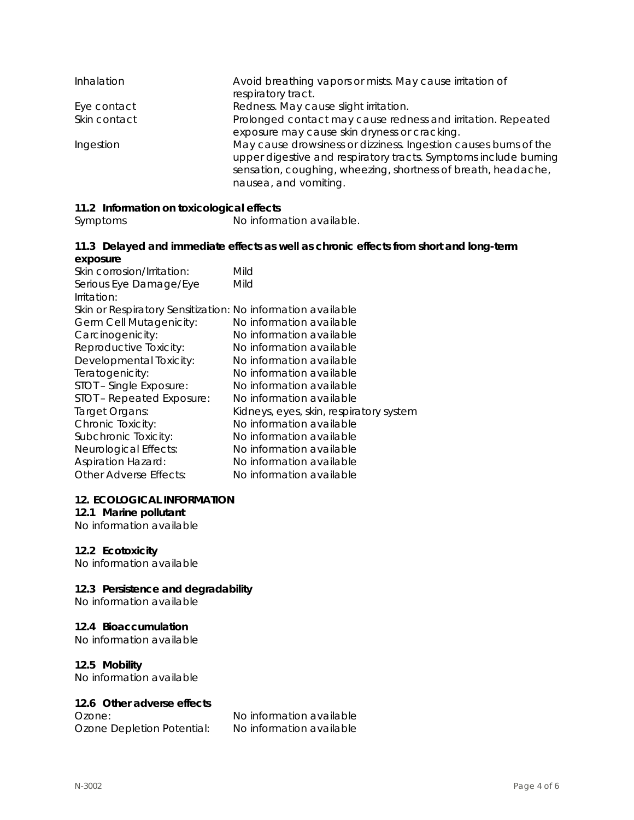| Inhalation   | Avoid breathing vapors or mists. May cause irritation of<br>respiratory tract.                                                                                                                                                 |
|--------------|--------------------------------------------------------------------------------------------------------------------------------------------------------------------------------------------------------------------------------|
| Eye contact  | Redness. May cause slight irritation.                                                                                                                                                                                          |
| Skin contact | Prolonged contact may cause redness and irritation. Repeated<br>exposure may cause skin dryness or cracking.                                                                                                                   |
| Ingestion    | May cause drowsiness or dizziness. Ingestion causes burns of the<br>upper digestive and respiratory tracts. Symptoms include burning<br>sensation, coughing, wheezing, shortness of breath, headache,<br>nausea, and vomiting. |

# **11.2 Information on toxicological effects**

Symptoms No information available.

#### **11.3 Delayed and immediate effects as well as chronic effects from short and long-term exposure**

| Skin corrosion/Irritation:                                  | Mild                                    |
|-------------------------------------------------------------|-----------------------------------------|
| Serious Eye Damage/Eye                                      | Mild                                    |
| Irritation:                                                 |                                         |
| Skin or Respiratory Sensitization: No information available |                                         |
| Germ Cell Mutagenicity:                                     | No information available                |
| Carcinogenicity:                                            | No information available                |
| Reproductive Toxicity:                                      | No information available                |
| Developmental Toxicity:                                     | No information available                |
| Teratogenicity:                                             | No information available                |
| STOT - Single Exposure:                                     | No information available                |
| STOT - Repeated Exposure:                                   | No information available                |
| Target Organs:                                              | Kidneys, eyes, skin, respiratory system |
| Chronic Toxicity:                                           | No information available                |
| Subchronic Toxicity:                                        | No information available                |
| Neurological Effects:                                       | No information available                |
| <b>Aspiration Hazard:</b>                                   | No information available                |
| Other Adverse Effects:                                      | No information available                |

#### **12. ECOLOGICAL INFORMATION**

#### **12.1 Marine pollutant**

No information available

#### **12.2 Ecotoxicity**

No information available

#### **12.3 Persistence and degradability**

No information available

#### **12.4 Bioaccumulation**

No information available

#### **12.5 Mobility**

No information available

#### **12.6 Other adverse effects**

Ozone Depletion Potential: No information available

Ozone: No information available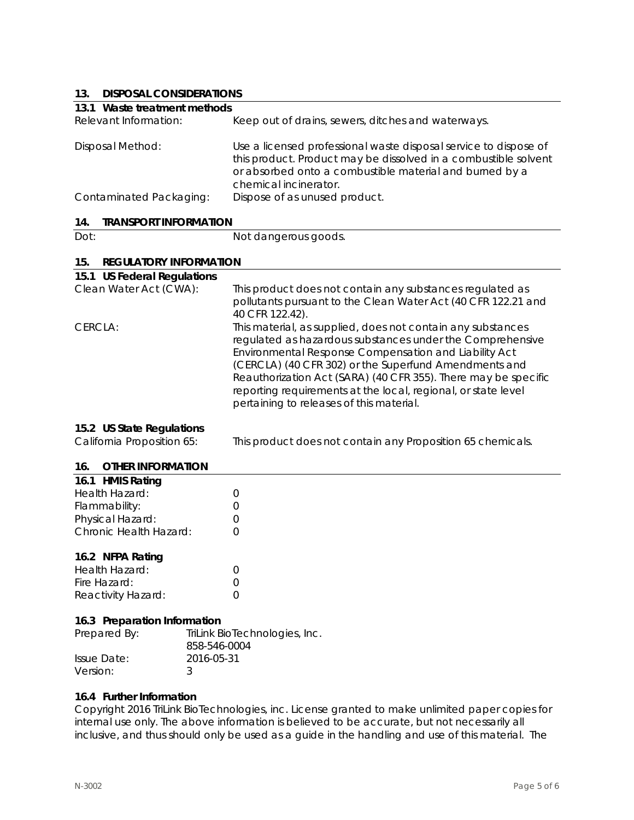## **13. DISPOSAL CONSIDERATIONS**

| 19.<br><b>DISPOSAL CONSIDERATIONS</b>                   |                                                                                                                                                                                                                                                                                                                                                                                                                           |
|---------------------------------------------------------|---------------------------------------------------------------------------------------------------------------------------------------------------------------------------------------------------------------------------------------------------------------------------------------------------------------------------------------------------------------------------------------------------------------------------|
| 13.1 Waste treatment methods                            |                                                                                                                                                                                                                                                                                                                                                                                                                           |
| Relevant Information:                                   | Keep out of drains, sewers, ditches and waterways.                                                                                                                                                                                                                                                                                                                                                                        |
| Disposal Method:                                        | Use a licensed professional waste disposal service to dispose of<br>this product. Product may be dissolved in a combustible solvent<br>or absorbed onto a combustible material and burned by a<br>chemical incinerator.                                                                                                                                                                                                   |
| Contaminated Packaging:                                 | Dispose of as unused product.                                                                                                                                                                                                                                                                                                                                                                                             |
| 14.<br><b>TRANSPORT INFORMATION</b>                     |                                                                                                                                                                                                                                                                                                                                                                                                                           |
| Dot:                                                    | Not dangerous goods.                                                                                                                                                                                                                                                                                                                                                                                                      |
|                                                         |                                                                                                                                                                                                                                                                                                                                                                                                                           |
| 15.<br><b>REGULATORY INFORMATION</b>                    |                                                                                                                                                                                                                                                                                                                                                                                                                           |
| 15.1 US Federal Regulations                             |                                                                                                                                                                                                                                                                                                                                                                                                                           |
| Clean Water Act (CWA):                                  | This product does not contain any substances regulated as<br>pollutants pursuant to the Clean Water Act (40 CFR 122.21 and<br>40 CFR 122.42).                                                                                                                                                                                                                                                                             |
| CERCLA:                                                 | This material, as supplied, does not contain any substances<br>regulated as hazardous substances under the Comprehensive<br>Environmental Response Compensation and Liability Act<br>(CERCLA) (40 CFR 302) or the Superfund Amendments and<br>Reauthorization Act (SARA) (40 CFR 355). There may be specific<br>reporting requirements at the local, regional, or state level<br>pertaining to releases of this material. |
| 15.2 US State Regulations<br>California Proposition 65: | This product does not contain any Proposition 65 chemicals.                                                                                                                                                                                                                                                                                                                                                               |
| <b>OTHER INFORMATION</b><br>16.                         |                                                                                                                                                                                                                                                                                                                                                                                                                           |
|                                                         |                                                                                                                                                                                                                                                                                                                                                                                                                           |

| 16.1 HMIS Rating       |                  |
|------------------------|------------------|
| Health Hazard:         | $\left( \right)$ |
| Flammability:          | $\left( \right)$ |
| Physical Hazard:       | $\left( \right)$ |
| Chronic Health Hazard: | $\left( \right)$ |
|                        |                  |

#### **16.2 NFPA Rating**

| Health Hazard:     |  |
|--------------------|--|
| Fire Hazard:       |  |
| Reactivity Hazard: |  |

#### **16.3 Preparation Information**

| Prepared By: | TriLink BioTechnologies, Inc.<br>858-546-0004 |
|--------------|-----------------------------------------------|
| Issue Date:  | 2016-05-31                                    |
| Version:     |                                               |

#### **16.4 Further Information**

Copyright 2016 TriLink BioTechnologies, inc. License granted to make unlimited paper copies for internal use only. The above information is believed to be accurate, but not necessarily all inclusive, and thus should only be used as a guide in the handling and use of this material. The